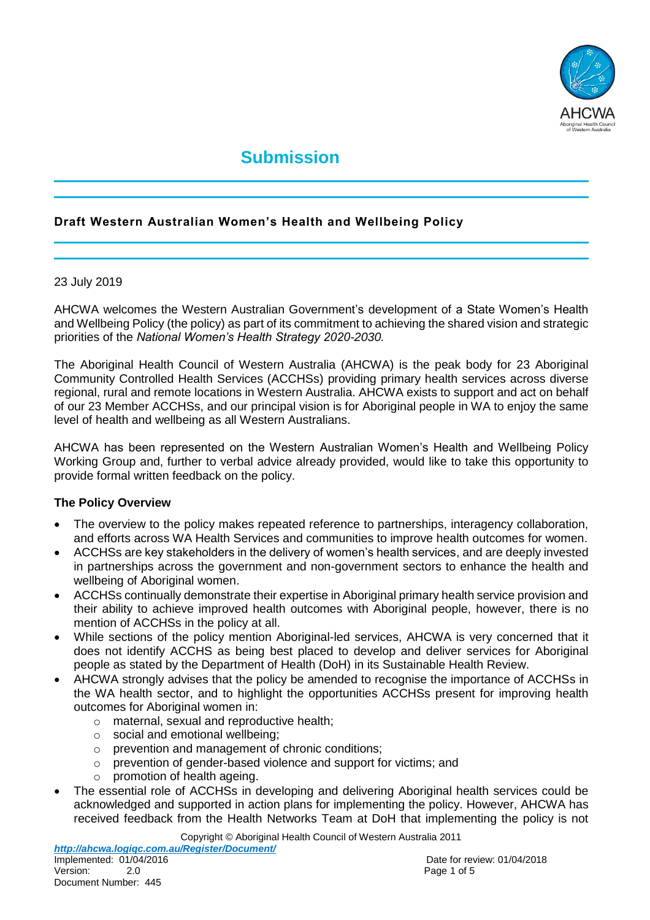

# **Submission**

## **Draft Western Australian Women's Health and Wellbeing Policy**

#### 23 July 2019

AHCWA welcomes the Western Australian Government's development of a State Women's Health and Wellbeing Policy (the policy) as part of its commitment to achieving the shared vision and strategic priorities of the *National Women's Health Strategy 2020-2030.*

The Aboriginal Health Council of Western Australia (AHCWA) is the peak body for 23 Aboriginal Community Controlled Health Services (ACCHSs) providing primary health services across diverse regional, rural and remote locations in Western Australia. AHCWA exists to support and act on behalf of our 23 Member ACCHSs, and our principal vision is for Aboriginal people in WA to enjoy the same level of health and wellbeing as all Western Australians.

AHCWA has been represented on the Western Australian Women's Health and Wellbeing Policy Working Group and, further to verbal advice already provided, would like to take this opportunity to provide formal written feedback on the policy.

#### **The Policy Overview**

- The overview to the policy makes repeated reference to partnerships, interagency collaboration, and efforts across WA Health Services and communities to improve health outcomes for women.
- ACCHSs are key stakeholders in the delivery of women's health services, and are deeply invested in partnerships across the government and non-government sectors to enhance the health and wellbeing of Aboriginal women.
- ACCHSs continually demonstrate their expertise in Aboriginal primary health service provision and their ability to achieve improved health outcomes with Aboriginal people, however, there is no mention of ACCHSs in the policy at all.
- While sections of the policy mention Aboriginal-led services, AHCWA is very concerned that it does not identify ACCHS as being best placed to develop and deliver services for Aboriginal people as stated by the Department of Health (DoH) in its Sustainable Health Review.
- AHCWA strongly advises that the policy be amended to recognise the importance of ACCHSs in the WA health sector, and to highlight the opportunities ACCHSs present for improving health outcomes for Aboriginal women in:
	- o maternal, sexual and reproductive health;
	- o social and emotional wellbeing;
	- o prevention and management of chronic conditions;
	- o prevention of gender-based violence and support for victims; and
	- o promotion of health ageing.
- The essential role of ACCHSs in developing and delivering Aboriginal health services could be acknowledged and supported in action plans for implementing the policy. However, AHCWA has received feedback from the Health Networks Team at DoH that implementing the policy is not

Copyright © Aboriginal Health Council of Western Australia 2011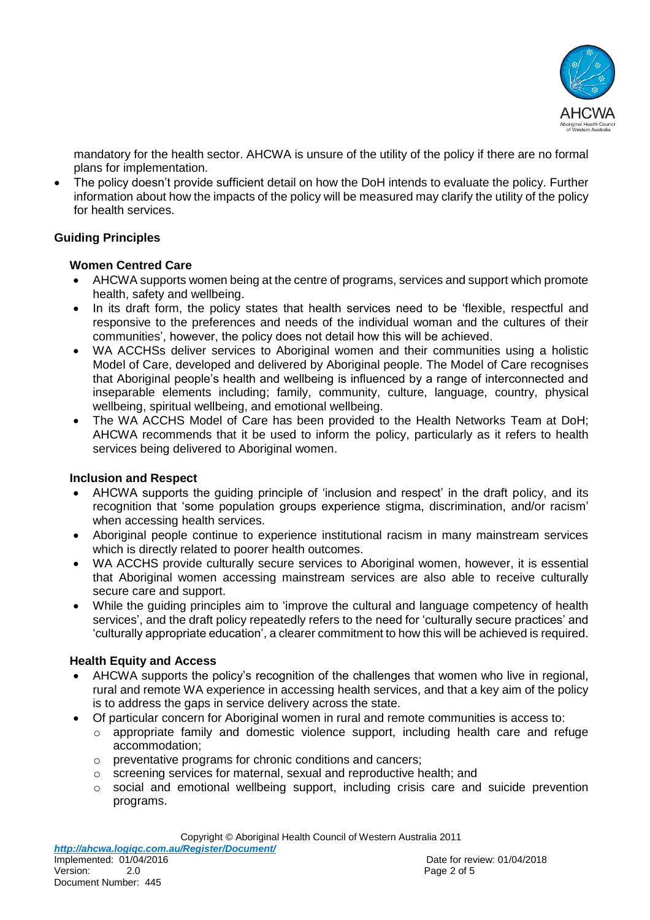

mandatory for the health sector. AHCWA is unsure of the utility of the policy if there are no formal plans for implementation.

 The policy doesn't provide sufficient detail on how the DoH intends to evaluate the policy. Further information about how the impacts of the policy will be measured may clarify the utility of the policy for health services.

## **Guiding Principles**

#### **Women Centred Care**

- AHCWA supports women being at the centre of programs, services and support which promote health, safety and wellbeing.
- In its draft form, the policy states that health services need to be 'flexible, respectful and responsive to the preferences and needs of the individual woman and the cultures of their communities', however, the policy does not detail how this will be achieved.
- WA ACCHSs deliver services to Aboriginal women and their communities using a holistic Model of Care, developed and delivered by Aboriginal people. The Model of Care recognises that Aboriginal people's health and wellbeing is influenced by a range of interconnected and inseparable elements including; family, community, culture, language, country, physical wellbeing, spiritual wellbeing, and emotional wellbeing.
- The WA ACCHS Model of Care has been provided to the Health Networks Team at DoH; AHCWA recommends that it be used to inform the policy, particularly as it refers to health services being delivered to Aboriginal women.

## **Inclusion and Respect**

- AHCWA supports the guiding principle of 'inclusion and respect' in the draft policy, and its recognition that 'some population groups experience stigma, discrimination, and/or racism' when accessing health services.
- Aboriginal people continue to experience institutional racism in many mainstream services which is directly related to poorer health outcomes.
- WA ACCHS provide culturally secure services to Aboriginal women, however, it is essential that Aboriginal women accessing mainstream services are also able to receive culturally secure care and support.
- While the guiding principles aim to 'improve the cultural and language competency of health services', and the draft policy repeatedly refers to the need for 'culturally secure practices' and 'culturally appropriate education', a clearer commitment to how this will be achieved is required.

## **Health Equity and Access**

- AHCWA supports the policy's recognition of the challenges that women who live in regional, rural and remote WA experience in accessing health services, and that a key aim of the policy is to address the gaps in service delivery across the state.
- Of particular concern for Aboriginal women in rural and remote communities is access to:
	- $\circ$  appropriate family and domestic violence support, including health care and refuge accommodation;
	- o preventative programs for chronic conditions and cancers;
	- o screening services for maternal, sexual and reproductive health; and
	- $\circ$  social and emotional wellbeing support, including crisis care and suicide prevention programs.

Copyright © Aboriginal Health Council of Western Australia 2011 *http://ahcwa.logiqc.com.au/Register/Document/* Implemented: 01/04/2016 **Date for review: 01/04/2018** Date for review: 01/04/2018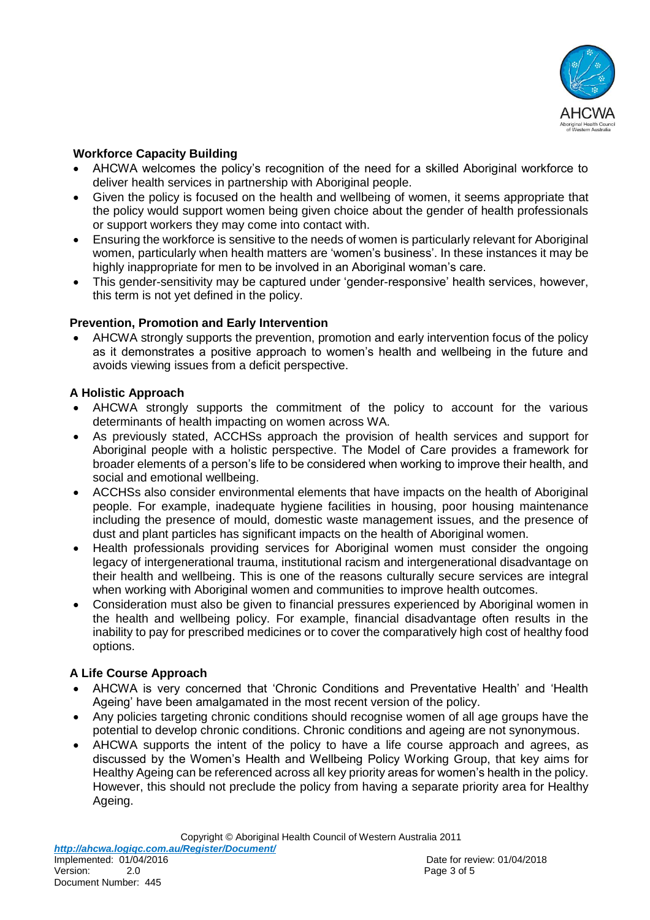

## **Workforce Capacity Building**

- AHCWA welcomes the policy's recognition of the need for a skilled Aboriginal workforce to deliver health services in partnership with Aboriginal people.
- Given the policy is focused on the health and wellbeing of women, it seems appropriate that the policy would support women being given choice about the gender of health professionals or support workers they may come into contact with.
- Ensuring the workforce is sensitive to the needs of women is particularly relevant for Aboriginal women, particularly when health matters are 'women's business'. In these instances it may be highly inappropriate for men to be involved in an Aboriginal woman's care.
- This gender-sensitivity may be captured under 'gender-responsive' health services, however, this term is not yet defined in the policy.

#### **Prevention, Promotion and Early Intervention**

 AHCWA strongly supports the prevention, promotion and early intervention focus of the policy as it demonstrates a positive approach to women's health and wellbeing in the future and avoids viewing issues from a deficit perspective.

#### **A Holistic Approach**

- AHCWA strongly supports the commitment of the policy to account for the various determinants of health impacting on women across WA.
- As previously stated, ACCHSs approach the provision of health services and support for Aboriginal people with a holistic perspective. The Model of Care provides a framework for broader elements of a person's life to be considered when working to improve their health, and social and emotional wellbeing.
- ACCHSs also consider environmental elements that have impacts on the health of Aboriginal people. For example, inadequate hygiene facilities in housing, poor housing maintenance including the presence of mould, domestic waste management issues, and the presence of dust and plant particles has significant impacts on the health of Aboriginal women.
- Health professionals providing services for Aboriginal women must consider the ongoing legacy of intergenerational trauma, institutional racism and intergenerational disadvantage on their health and wellbeing. This is one of the reasons culturally secure services are integral when working with Aboriginal women and communities to improve health outcomes.
- Consideration must also be given to financial pressures experienced by Aboriginal women in the health and wellbeing policy. For example, financial disadvantage often results in the inability to pay for prescribed medicines or to cover the comparatively high cost of healthy food options.

## **A Life Course Approach**

- AHCWA is very concerned that 'Chronic Conditions and Preventative Health' and 'Health Ageing' have been amalgamated in the most recent version of the policy.
- Any policies targeting chronic conditions should recognise women of all age groups have the potential to develop chronic conditions. Chronic conditions and ageing are not synonymous.
- AHCWA supports the intent of the policy to have a life course approach and agrees, as discussed by the Women's Health and Wellbeing Policy Working Group, that key aims for Healthy Ageing can be referenced across all key priority areas for women's health in the policy. However, this should not preclude the policy from having a separate priority area for Healthy Ageing.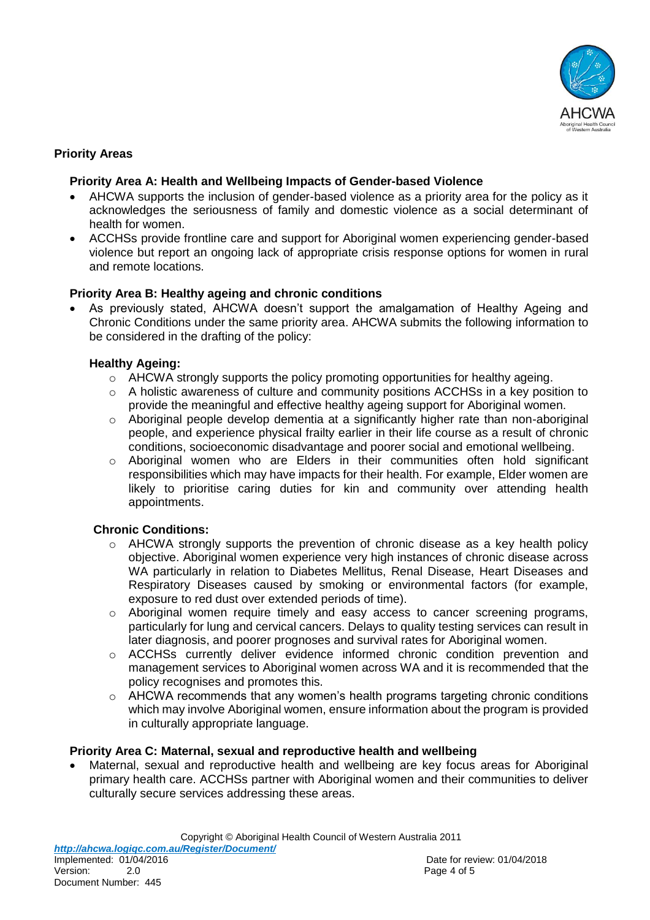

## **Priority Areas**

#### **Priority Area A: Health and Wellbeing Impacts of Gender-based Violence**

- AHCWA supports the inclusion of gender-based violence as a priority area for the policy as it acknowledges the seriousness of family and domestic violence as a social determinant of health for women.
- ACCHSs provide frontline care and support for Aboriginal women experiencing gender-based violence but report an ongoing lack of appropriate crisis response options for women in rural and remote locations.

#### **Priority Area B: Healthy ageing and chronic conditions**

 As previously stated, AHCWA doesn't support the amalgamation of Healthy Ageing and Chronic Conditions under the same priority area. AHCWA submits the following information to be considered in the drafting of the policy:

#### **Healthy Ageing:**

- $\circ$  AHCWA strongly supports the policy promoting opportunities for healthy ageing.
- o A holistic awareness of culture and community positions ACCHSs in a key position to provide the meaningful and effective healthy ageing support for Aboriginal women.
- $\circ$  Aboriginal people develop dementia at a significantly higher rate than non-aboriginal people, and experience physical frailty earlier in their life course as a result of chronic conditions, socioeconomic disadvantage and poorer social and emotional wellbeing.
- o Aboriginal women who are Elders in their communities often hold significant responsibilities which may have impacts for their health. For example, Elder women are likely to prioritise caring duties for kin and community over attending health appointments.

## **Chronic Conditions:**

- $\circ$  AHCWA strongly supports the prevention of chronic disease as a key health policy objective. Aboriginal women experience very high instances of chronic disease across WA particularly in relation to Diabetes Mellitus, Renal Disease, Heart Diseases and Respiratory Diseases caused by smoking or environmental factors (for example, exposure to red dust over extended periods of time).
- o Aboriginal women require timely and easy access to cancer screening programs, particularly for lung and cervical cancers. Delays to quality testing services can result in later diagnosis, and poorer prognoses and survival rates for Aboriginal women.
- o ACCHSs currently deliver evidence informed chronic condition prevention and management services to Aboriginal women across WA and it is recommended that the policy recognises and promotes this.
- $\circ$  AHCWA recommends that any women's health programs targeting chronic conditions which may involve Aboriginal women, ensure information about the program is provided in culturally appropriate language.

## **Priority Area C: Maternal, sexual and reproductive health and wellbeing**

 Maternal, sexual and reproductive health and wellbeing are key focus areas for Aboriginal primary health care. ACCHSs partner with Aboriginal women and their communities to deliver culturally secure services addressing these areas.